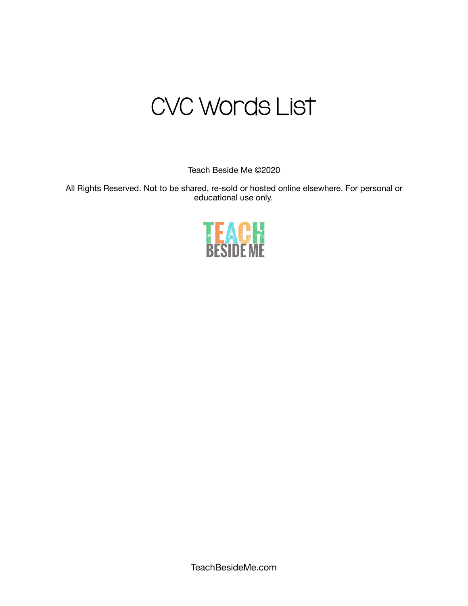# CVC Words List

Teach Beside Me ©2020

All Rights Reserved. Not to be shared, re-sold or hosted online elsewhere. For personal or educational use only.

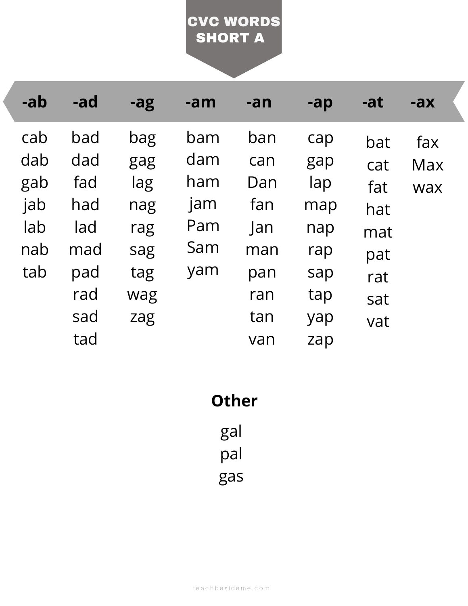#### SHORT A CVC WORDS

| -ab | -ad | -ag | -am | -an        | $-a p$ | -at | $-ax$      |
|-----|-----|-----|-----|------------|--------|-----|------------|
| cab | bad | bag | bam | ban        | cap    | bat | fax        |
| dab | dad | gag | dam | can        | gap    | cat | <b>Max</b> |
| gab | fad | lag | ham | Dan        | lap    | fat | wax        |
| jab | had | nag | jam | fan        | map    | hat |            |
| lab | lad | rag | Pam | <b>Jan</b> | nap    | mat |            |
| nab | mad | sag | Sam | man        | rap    | pat |            |
| tab | pad | tag | yam | pan        | sap    | rat |            |
|     | rad | wag |     | ran        | tap    | sat |            |
|     | sad | zag |     | tan        | yap    | vat |            |
|     | tad |     |     | van        | zap    |     |            |

**Other**

gal pal gas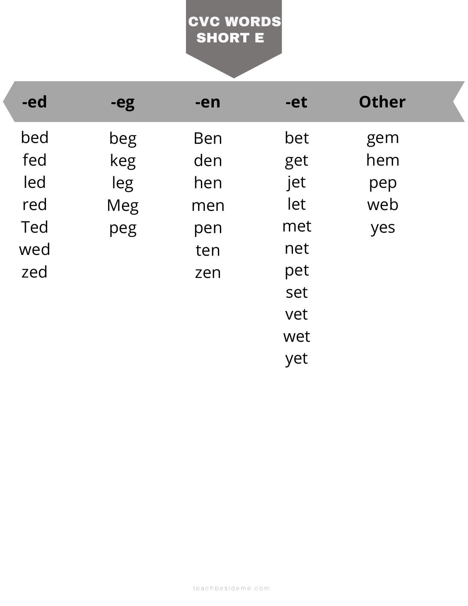## SHORT E CVC WORDS

| -ed | -eg | -en        | -et | <b>Other</b> |  |
|-----|-----|------------|-----|--------------|--|
| bed | beg | <b>Ben</b> | bet | gem          |  |
| fed | keg | den        | get | hem          |  |
| led | leg | hen        | jet | pep          |  |
| red | Meg | men        | let | web          |  |
| Ted | peg | pen        | met | yes          |  |
| wed |     | ten        | net |              |  |
| zed |     | zen        | pet |              |  |
|     |     |            | set |              |  |
|     |     |            | vet |              |  |
|     |     |            | wet |              |  |
|     |     |            | yet |              |  |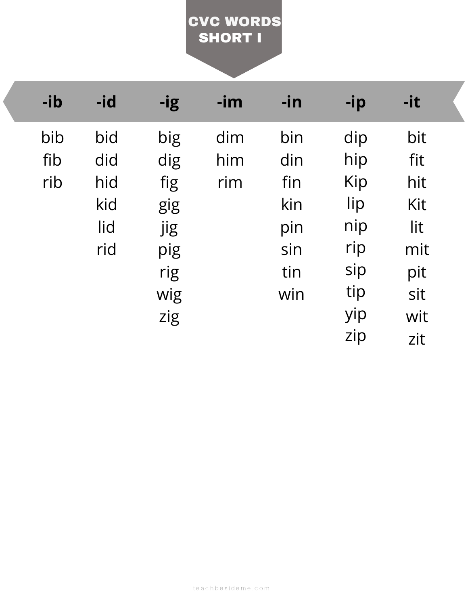### SHORT I CVC WORDS

| -ib | -id | -ig | $-im$ | -in | -ip | $-it$ |  |
|-----|-----|-----|-------|-----|-----|-------|--|
| bib | bid | big | dim   | bin | dip | bit   |  |
| fib | did | dig | him   | din | hip | fit   |  |
| rib | hid | fig | rim   | fin | Kip | hit   |  |
|     | kid | gig |       | kin | lip | Kit   |  |
|     | lid | jig |       | pin | nip | lit   |  |
|     | rid | pig |       | sin | rip | mit   |  |
|     |     | rig |       | tin | sip | pit   |  |
|     |     | wig |       | win | tip | sit   |  |
|     |     | zig |       |     | yip | wit   |  |
|     |     |     |       |     | zip | zit   |  |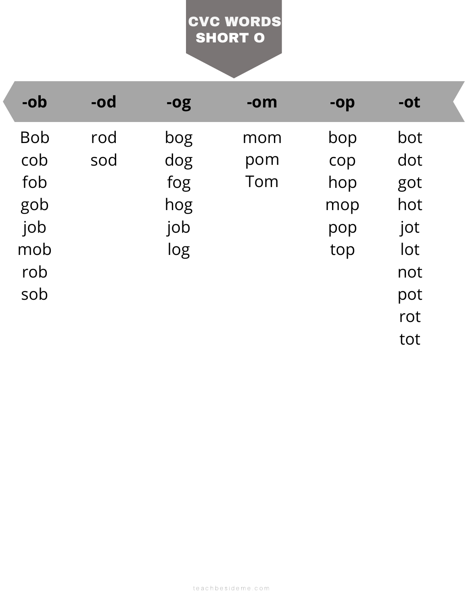### SHORT O CVC WORDS

| -ob        | $-od$ | <b>-0g</b> | $-om$ | $-op$ | $-ot$ |  |
|------------|-------|------------|-------|-------|-------|--|
| <b>Bob</b> | rod   | bog        | mom   | bop   | bot   |  |
| cob        | sod   | dog        | pom   | cop   | dot   |  |
| fob        |       | fog        | Tom   | hop   | got   |  |
| gob        |       | hog        |       | mop   | hot   |  |
| job        |       | job        |       | pop   | jot   |  |
| mob        |       | log        |       | top   | lot   |  |
| rob        |       |            |       |       | not   |  |
| sob        |       |            |       |       | pot   |  |
|            |       |            |       |       | rot   |  |
|            |       |            |       |       | tot   |  |